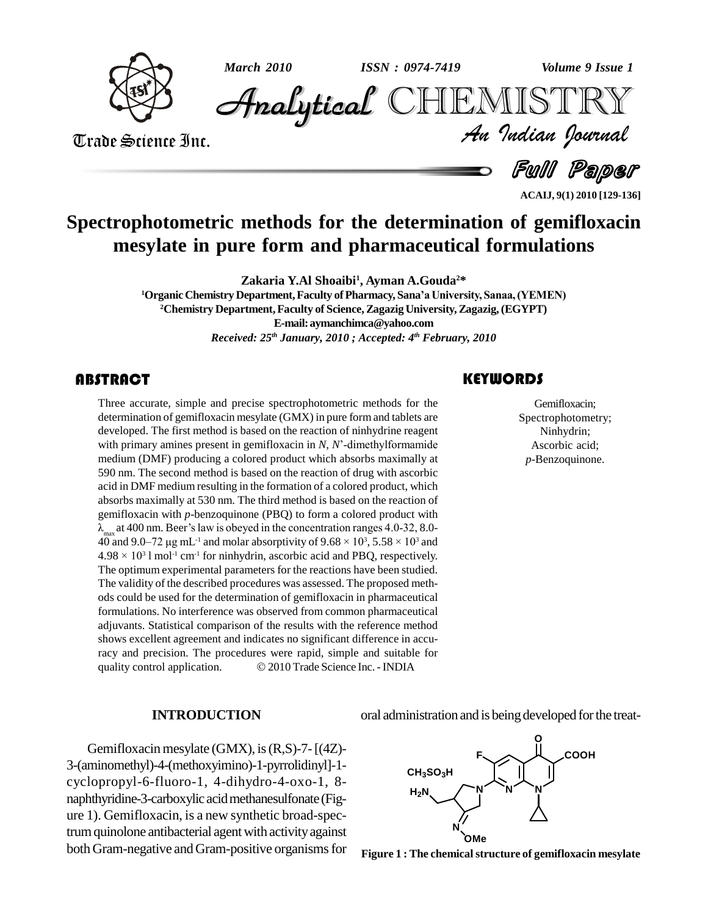

*March 2010 Volume 9 Issue 1 ISSN : 0974-7419*

*Volume 9 Issue 1*<br>IISTRY<br>Indian Iournal **Analytical** CHEMISTRY

Trade Science Inc. Trade Science Inc.

Full Paper

**ACAIJ, 9(1) 2010 [129-136]**

# **Spectrophotometric methods for the determination of gemifloxacin mesylate in pure form and pharmaceutical formulations**

**Zakaria Y.Al Shoaibi<sup>1</sup> , Ayman A.Gouda <sup>2</sup>\***

**<sup>1</sup>Organic Chemistry Department,Faculty ofPharmacy, SanaíaUniversity, Sanaa,(YEMEN) <sup>2</sup>Chemistry Department,Faculty of Science,Zagazig University,Zagazig,(EGYPT) E-mail:[aymanchimca@yahoo.com](mailto:aymanchimca@yahoo.com)** *Received: 25 th January, 2010 ; Accepted: 4 th February, 2010*

Three accurate, simple<br>determination of gemiflo<br>developed. The first met Three accurate, simple and precise spectrophotometric methods for the determination of gemifloxacin mesylate (GMX) in pure formand tablets are with primary amines present in gemifloxacin in *N, <sup>N</sup>*í-dimethylformamide developed. The first method is based on the reaction of ninhydrine reagent medium (DMF) producing a colored product which absorbs maximally at 590 nm. The second method is based on the reaction of drug with ascorbic acid in DMF medium resulting in the formation of a colored product, which absorbs maximally at 530 nm. The third method is based on the reaction of Îgemifloxacin with *p*-benzoquinone (PBQ) to form a colored product with absorbs maximally at 530 nm. The third method is based on the reaction of gemifloxacin with *p*-benzoquinone (PBQ) to form a colored product with  $\lambda_{\text{max}}$  at 400 nm. Beer's law is obeyed in the concentration ranges 4.0- $3, 5.58 \times 10^3$  and  $\lambda_{\text{max}}$  at 400 nm. Beer's law is obeyed in the concentration ranges 4.0-32, 8.0-<sup>3</sup> l mol<sup>-1</sup> cm<sup>-1</sup> for ninhydrin, ascorbic acid and PBQ, respectively. The optimum experimental parameters for the reactions have been studied. The validity of the described procedures was assessed. The proposed meth ods could be used for the determination of gemifloxacin in pharmaceutical formulations. No interference was observed from common pharmaceutical adjuvants. Statistical comparison of the results with the reference method shows excellent agreement and indicates no significant difference in accu-<br>racy and precision. The procedures were rapid, simple and suitable for<br>quality control application.  $\textcircled{2010}$  Trade Science Inc. - INDIA racy and precision. The procedures were rapid, simple and suitable for

# **KEYWORDS**

Gemifloxacin<br>Spectrophotome<br>Ninhydrin; Gemifloxacin; Spectrophotometry; Ninhydrin; Ascorbic acid; *p*-Benzoquinone.

#### **INTRODUCTION**

Gemifloxacin mesylate  $(GMX)$ , is  $(R,S)$ -7- $[(4Z)$ -3-(aminomethyl)-4-(methoxyimino)-1-pyrrolidinyl]-1 cyclopropyl-6-fluoro-1, 4-dihydro-4-oxo-1, 8 naphthyridine-3-carboxylic acidmethanesulfonate(Fig ure 1). Gemifloxacin, is a new synthetic broad-spectrum quinolone antibacterial agent with activity against both Gram-negative and Gram-positive organisms for oral administration and is being developed for the treat-



**Figure 1 : The chemicalstructure of gemifloxacin mesylate**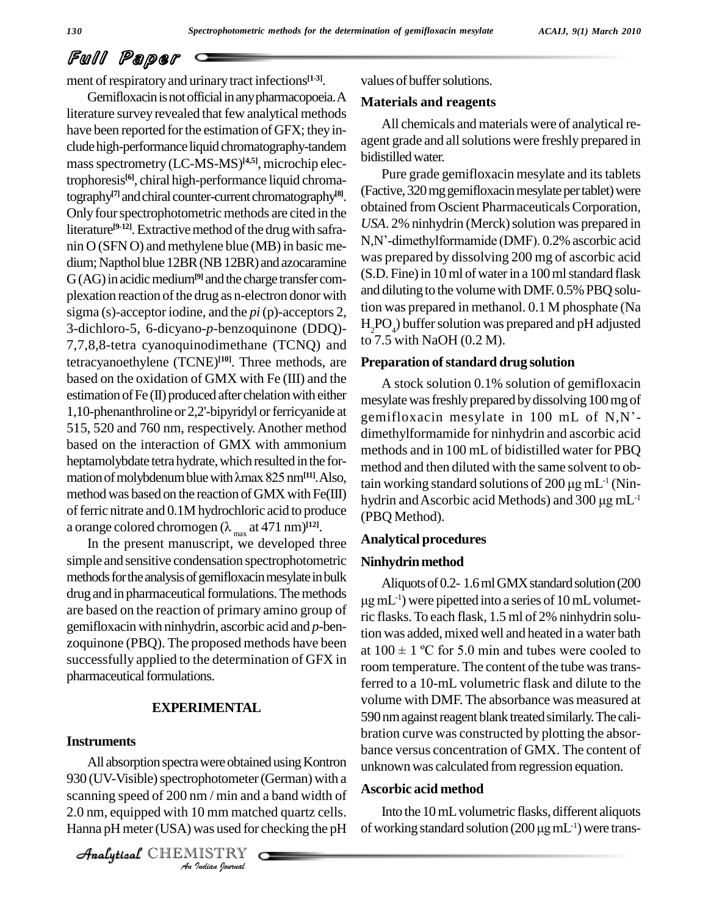# Full Paper

ment of respiratory and urinary tract infections<sup>[1-3]</sup>.

Gemifloxacin is not official in any pharmacopoeia. A literature survey revealed that few analytical methods have been reported for the estimation of GFX; they include high-performance liquid chromatography-tandem massspectrometry (LC-MS-MS) **[4,5]**, microchip electrophoresis **[6]**, chiral high-performance liquid chromatography<sup>[7]</sup> and chiral counter-current chromatography<sup>[8]</sup>. [F<sup>act</sup> Only four spectrophotometric methods are cited in the literature<sup>[9-12]</sup>. Extractive method of the drug with safranin O (SFN O) and methylene blue (MB) in basic me- $N$ , $N$ '-dimethylformamide (DMF). 0.2% ascorbic acid dium; Napthol blue 12BR (NB 12BR) and azocaramine G(AG) in acidic medium<sup>[9]</sup> and the charge transfer complexation reaction of the drug as n-electron donor with sigma (s)-acceptor iodine, and the *pi*(p)-acceptors 2, 3-dichloro-5, 6-dicyano-*p*-benzoquinone (DDQ)- 7,7,8,8-tetra cyanoquinodimethane (TCNQ) and tetracyanoethylene (TCNE)<sup>[10]</sup>. Three methods, are **Preparately** based on the oxidation of GMX with Fe (III) and the estimation of  $Fe (II)$  produced after chelation with either 1,10-phenanthroline or 2,2'-bipyridyl or ferricyanide at 515, 520 and 760 nm, respectively.Another method based on the interaction of GMX with ammonium<br>heptamolybdate tetra hydrate, which resulted in the for-<br>method and<br>mation of molybdenum blue with λmax 825 nm<sup>[11]</sup>. Also, heptamolybdate tetra hydrate, which resulted in the formethod was based on the reaction of GMX with Fe(III) of ferric nitrate and  $0.1M$  hydrochloric acid to produce method was based on the reaction of GMX with Fe(III)<br>of ferric nitrate and 0.1M hydrochloric acid to produce<br>a orange colored chromogen ( $\lambda_{max}$  at 471 nm)<sup>[12]</sup>.

In the present manuscript, we developed three simple and sensitive condensation spectrophotometric methods for the analysis of gemifloxacin mesylate in bulk drug and in pharmaceutical formulations. The methods are based on the reaction of primary amino group of gemifloxacin with ninhydrin, ascorbic acid and *p*-ben zoquinone (PBQ). The proposed methods have been successfully applied to the determination of GFX in pharmaceutical formulations.

#### **EXPERIMENTAL**

#### **Instruments**

All absorption spectra were obtained using Kontron unknow *I*<br>*Immax Immax*<br>*I I Immaxies*<br>*ISTRY*<br>*IISTRY* 930 (UV-Visible) spectrophotometer (German) with a scanning speed of 200 nm / min and a band width of 2.0 nm, equipped with 10 mm matched quartz cells. Hanna pH meter (USA) was used for checking the pH

CHEMISTRY

values of buffer solutions.

# **Materials and reagents**

All chemicals and materials were of analytical reagent grade and allsolutions were freshly prepared in bidistilledwater.

Pure grade gemifloxacin mesylate and its tablets (Factive, 320 mg gemifloxacin mesylate per tablet) were obtained from Oscient Pharmaceuticals Corporation*,* USA. 2% ninhydrin (Merck) solution was prepared in obtained from Oscient Pharmaceuticals Corporation,<br>USA. 2% ninhydrin (Merck) solution was prepared in<br>N,N'-dimethylformamide (DMF). 0.2% ascorbic acid was prepared by dissolving 200 mg of ascorbic acid (S.D. Fine) in 10 ml of water in a 100 ml standard flask and diluting to the volume with DMF. 0.5% PBQ solution was prepared in methanol. 0.1 M phosphate (Na  $H_2PO_4$ ) buffer solution was prepared and pH adjusted to 7.5 with NaOH (0.2 M).

#### **Preparation ofstandard drug solution**

A stock solution 0.1% solution of gemifloxacin mesylate was freshly prepared by dissolving 100 mg of gemifloxacin mesylate in  $100$  mL of N,N'dimethylformamide for ninhydrin and ascorbic acid methods and in 100 mL of bidistilled water for PBQ method and then diluted with the same solvent to obmethods and in 100 mL of bidistilled water for PBQ<br>method and then diluted with the same solvent to ob-<br>tain working standard solutions of 200 µg mL<sup>-1</sup> (Nintain working standard solutions of  $200 \mu g \text{m}L^{-1}$  (Ninmethod and then diluted with the same solvent to obtain working standard solutions of 200  $\mu$ g mL<sup>-1</sup> (Ninhydrin and Ascorbic acid Methods) and 300  $\mu$ g mL<sup>-1</sup> hydrin and Ascorbic acid Methods) and 300 µg mL<sup>-1</sup> (PBQ Method).

#### **Analytical procedures**

# Ninhydrin method

Aliquots of 0.2-1.6 ml GMX standard solution (200 -1) were pipetted into a series of 10mLvolumetric flasks.To each flask, 1.5 ml of 2% ninhydrin solution was added, mixed well and heated in a water bath at  $100 \pm 1$  °C for 5.0 min and tubes were cooled to room temperature. The content of the tube was transferred to a 10-mL volumetric flask and dilute to the volume with DMF. The absorbance was measured at 590 nm against reagent blank treated similarly. The calibration curve was constructed by plotting the absor bance versus concentration of GMX. The content of unknownwas calculated fromregression equation.

#### **Ascorbic acid method**

Into the 10mLvolumetric flasks, different aliquots Ascorbic acid method<br>Into the 10 mL volumetric flasks, different aliquots<br>of working standard solution (200  $\mu$ g mL $^1$ ) were trans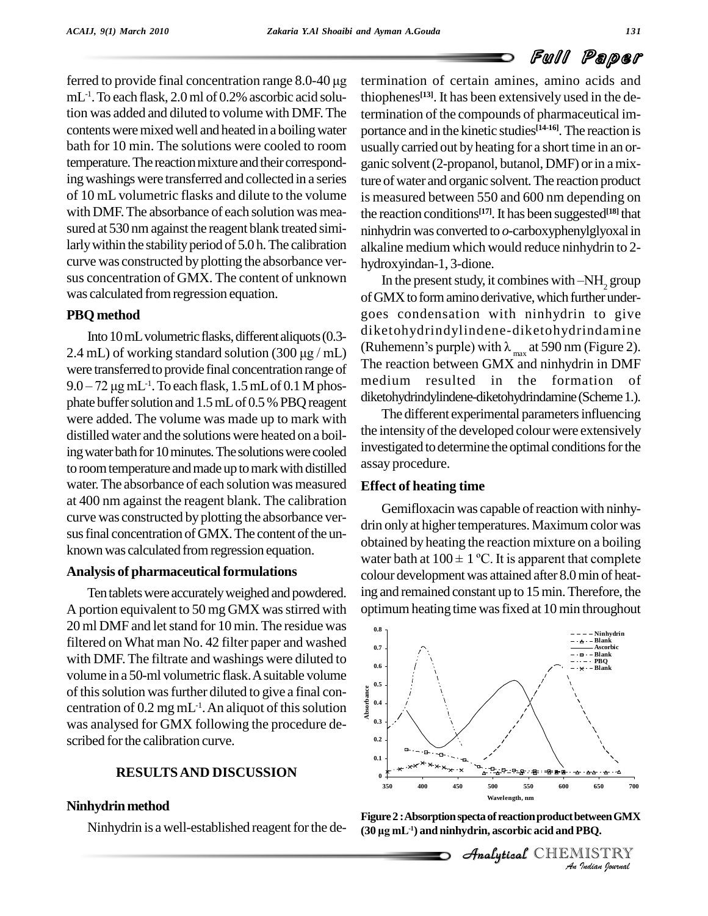ferred to provide final concentration range  $8.0\n-40 \mu g$ mL<sup>-1</sup>. To each flask, 2.0 ml of 0.2% ascorbic acid solu-<br>th tion was added and diluted to volume with DMF.The contents were mixed well and heated in a boiling water bath for 10 min. The solutions were cooled to room temperature. The reaction mixture and their corresponding washings were transferred and collected in a series of 10 mL volumetric flasks and dilute to the volume with DMF. The absorbance of each solution was measured at 530 nm against the reagent blank treated similarly within the stability period of 5.0 h. The calibration curve was constructed by plotting the absorbance ver sus concentration of GMX. The content of unknown was calculated fromregression equation.

# **PBQ method**

Into 10 mL volumetric flasks, different aliquots (0.3-**PBQ method**<br>Into 10 mL volumetric flasks, different aliquots (0.3-<br>2.4 mL) of working standard solution (300  $\mu$ g / mL) were transferred to provide final concentration range of The reaction between GMX and ninhydrin in DMF 2.4 mL) of working standa<br>were transferred to provide<br>9.0 – 72 µg mL<sup>-1</sup>. To each fl  $^{-1}$ . To each flask, 1.5 mL of 0.1 M phosphate buffer solution and 1.5 mL of 0.5 % PBQ reagent were added. The volume was made up to mark with distilled water and the solutions were heated on a boiling water bath for 10 minutes. The solutions were cooled to room temperature and made up to mark with distilled water.The absorbance of each solution was measured at 400 nm against the reagent blank. The calibration curve was constructed by plotting the absorbance ver sus final concentration of GMX. The content of the unknown was calculated from regression equation.

# **Analysis of pharmaceutical formulations**

Ten tablets were accurately weighed and powdered. A portion equivalent to 50 mg GMX wasstirred with 20 ml DMF and let stand for 10 min. The residue was filtered on What man No. 42 filter paper and washed with DMF.The filtrate and washings were diluted to volume in a 50-ml volumetric flask.Asuitable volume of this solution was further diluted to give a final concentration of 0.2 mg mL<sup>-1</sup>. An aliquot of this solution  $\frac{1}{2}$ <sup>6.4</sup> was analysed for GMX following the procedure de scribed for the calibration curve.

# **RESULTSAND DISCUSSION**

# **Ninhydrinmethod**

Ninhydrin is a well-established reagent for the de-

termination of certain amines, amino acids and thiophenes **[13]**. It has been extensively used in the determination of the compounds of pharmaceutical im portance and in the kinetic studies **[14-16]**.The reaction is usually carried out by heating for a short time in an or ganic solvent (2-propanol, butanol, DMF) or in a mixture of water and organic solvent. The reaction product is measured between 550 and 600 nm depending on the reaction conditions **[17]**.It has been suggested **[18]** that ninhydrinwas converted to *o*-carboxyphenylglyoxalin alkaline medium which would reduce ninhydrin to 2 hydroxyindan-1, 3-dione.

In the present study, it combines with  $-NH<sub>2</sub>$  group of GMX to form amino derivative, which further undergoes condensation with ninhydrin to give diketohydrindylindene-diketohydrindamine (Ruhemenn's purple) with  $\lambda_{\text{max}}$  at 590 nm (Figure 2). medium resulted in the formation diketohydrindylindene-diketohydrindamine(Scheme1.).

The different experimental parameters influencing the intensity of the developed colour were extensively investigated to determine the optimal conditions for the assay procedure.

# **Effect of heating time**

Gemifloxacin was capable of reaction with ninhydrin only at higher temperatures. Maximum color was obtained by heating the reaction mixture on a boiling drin only at higher temperatures. Maximum color was<br>obtained by heating the reaction mixture on a boiling<br>water bath at  $100 \pm 1$  °C. It is apparent that complete colour developmentwas attained after 8.0min of heating and remained constant up to 15min.Therefore, the optimumheating time wasfixed at 10 min throughout



**Figure 2 : Absorption specta of reaction product between GMX (30 Ïg mL -1) and ninhydrin, ascorbic acid and PBQ.**

 $\mathcal{A}$ nalytical $\mathcal{C}$ HEMISTRY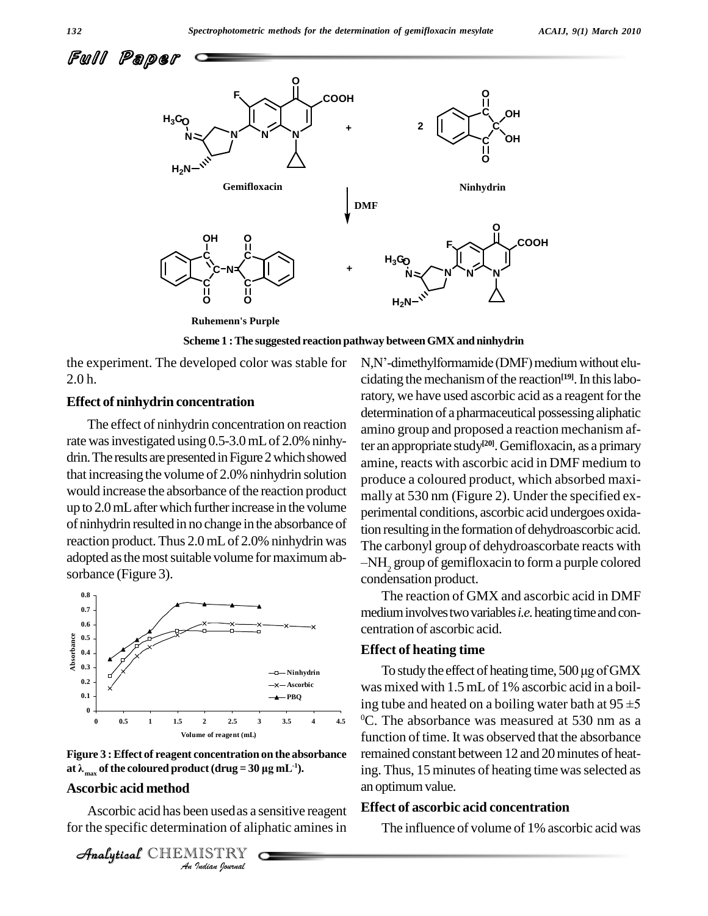

**Scheme 1 :The suggested reaction pathway betweenGMX and ninhydrin**

the experiment. The developed color was stable for 2.0 h.

#### **Effect of ninhydrin concentration**

The effect of ninhydrin concentration on reaction rate was investigated using 0.5-3.0 mL of 2.0% ninhydrin. The results are presented in Figure 2 which showed that increasing the volume of 2.0% ninhydrin solution would increase the absorbance of the reaction product up to  $2.0$  mL after which further increase in the volume of ninhydrin resulted in no change in the absorbance of reaction product.Thus 2.0 mLof 2.0% ninhydrin was adopted as the most suitable volume for maximum absorbance (Figure 3).





#### **Ascorbic acid method**

**Indian**<br>**Indian**<br>**Indian of alip**<br>Indian spourmal<br>Tudian spourmal Ascorbic acid has been usedas a sensitive reagent for the specific determination of aliphatic amines in

```
CHEMISTRY
```
N,N'-dimethylformamide (DMF) medium without elucidating the mechanism of the reaction<sup>[19]</sup>. In this laboratory, we have used ascorbic acid as a reagent for the determination of a pharmaceutical possessing aliphatic amino group and proposed a reaction mechanism after an appropriate study **[20]**.Gemifloxacin, as a primary amine, reacts with ascorbic acid in DMF medium to produce a coloured product, which absorbed maxi mally at 530 nm (Figure 2). Under the specified ex perimental conditions, ascorbic acid undergoes oxidation resulting in the formation of dehydroascorbic acid. The carbonyl group of dehydroascorbate reacts with -NH<sub>2</sub> group of gemifloxacin to form a purple colored condensation product.

The reaction of GMX and ascorbic acid in DMF medium involves two variables *i.e.* heating time and concentration of ascorbic acid.

#### **Effect of heating time**

To study the effect of heating time,  $500 \,\mu$ g of GMX was mixed with 1.5 mLof 1% ascorbic acid in a boil-To study the effect of heating time, 500 µg of GMX<br>was mixed with 1.5 mL of 1% ascorbic acid in a boil-<br>ing tube and heated on a boiling water bath at  $95 \pm 5$ <sup>0</sup>C. The absorbance was measured at 530 nm as a function of time. It was observed that the absorbance remained constant between 12 and 20minutes of heating. Thus, 15 minutes of heating time was selected as an optimum value.

#### **Effect of ascorbic acid concentration**

The influence of volume of 1% ascorbic acid was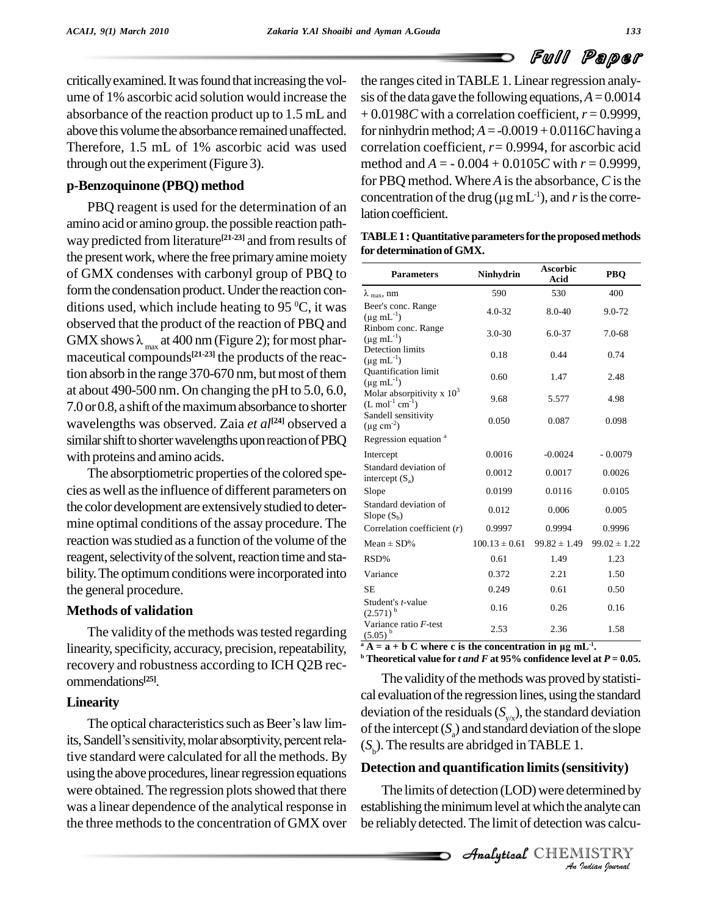critically examined. It was found that increasing the volume of 1% ascorbic acid solution would increase the absorbance of the reaction product up to 1.5 mL and above this volume the absorbance remainedunaffected. Therefore, 1.5 mL of 1% ascorbic acid was used through out the experiment(Figure 3).

# **p-Benzoquinone (PBQ) method**

PBQ reagent is used for the determination of an amino acid or amino group. the possible reaction path way predicted from literature **[21-23]** and from results of the present work, where the free primary amine moiety of GMX condenses with carbonyl group of PBQ to form the condensation product. Under the reaction conditions used, which include heating to 95  $\mathrm{^0C}$ , it was Beer's observed that the product of the reaction of PBQ and GMX shows  $\lambda_{\text{max}}$  at 400 nm (Figure 2); for most phar- $\frac{1}{2}$  maceutical compounds<sup>[21-23]</sup> the products of the reaction absorb in the range 370-670 nm, but most of them at about 490-500 nm. On changing the pH to 5.0, 6.0, 7.0 or 0.8, a shift of the maximum absorbance to shorter wavelengths was observed. Zaia *et*  $al^{[24]}$  observed a  $\mu$ g cm similar shift to shorter wavelengths upon reaction of PBQ with proteins and amino acids.

The absorptiometric properties of the colored species as well asthe influence of different parameters on the color development are extensivelystudied to deter mine optimal conditions of the assay procedure. The reaction was studied as a function of the volume of the reagent, selectivity of the solvent, reaction time and stability. The optimum conditions were incorporated into the general procedure.

# **Methods of validation**

The validity of the methods was tested regarding linearity, specificity, accuracy, precision, repeatability, recovery and robustness according to ICH Q2B rec ommendations **[25]**.

# **Linearity**

The optical characteristics such as Beer's law limits, Sandell's sensitivity, molar absorptivity, percent relative standard were calculated for all the methods. By using the above procedures, linear regression equations were obtained. The regression plots showed that there was a linear dependence of the analytical response in the three methods to the concentration of GMX over

the ranges cited in TABLE 1. Linear regression analysis of the data gave the following equations,  $A = 0.0014$ + 0.0198*C* with a correlation coefficient,*r* = 0.9999, for ninhydrin method;  $A = -0.0019 + 0.0116C$  having a correlation coefficient, *r=* 0.9994, for ascorbic acid method and  $A = -0.004 + 0.0105C$  with  $r = 0.9999$ ,<br>for PBQ method. Where A is the absorbance, C is the<br>concentration of the drug ( $\mu$ g mL<sup>-1</sup>), and r is the correfor PBQ method. Where *A* is the absorbance, *C* is the concentration of the drug ( $\mu$ g mL<sup>-1</sup>), and *r* is the correlation coefficient.

| TABLE 1 : Quantitative parameters for the proposed methods |  |
|------------------------------------------------------------|--|
| for determination of GMX.                                  |  |

| <b>Parameters</b>                                            | <b>Ninhydrin</b>  | <b>Ascorbic</b><br>Acid | <b>PBO</b>       |  |
|--------------------------------------------------------------|-------------------|-------------------------|------------------|--|
| $\lambda$ <sub>max</sub> , nm                                | 590               | 530                     | 400              |  |
| Beer's conc. Range<br>$(\mu g \text{ mL}^{-1})$              | $4.0 - 32$        | 8.0-40                  | $9.0 - 72$       |  |
| Rinbom conc. Range<br>$(\mu g \, mL^{-1})$                   | $3.0 - 30$        | $6.0 - 37$              | $7.0 - 68$       |  |
| <b>Detection limits</b><br>$(\mu g \, mL^{-1})$              | 0.18              | 0.44                    | 0.74             |  |
| <b>Ouantification limit</b><br>$(\mu g \, mL^{-1})$          | 0.60              | 1.47                    | 2.48             |  |
| Molar absorpitivity x $10^3$<br>$(L \mod 1 \text{ cm}^{-1})$ | 9.68              | 5.577                   | 4.98             |  |
| Sandell sensitivity<br>$(\mu g \text{ cm}^{-2})$             | 0.050             | 0.087                   | 0.098            |  |
| Regression equation <sup>a</sup>                             |                   |                         |                  |  |
| Intercept                                                    | 0.0016            | $-0.0024$               | $-0.0079$        |  |
| Standard deviation of<br>intercept $(S_a)$                   | 0.0012            | 0.0017                  | 0.0026           |  |
| Slope                                                        | 0.0199            | 0.0116                  | 0.0105           |  |
| Standard deviation of<br>Slope $(S_b)$                       | 0.012             | 0.006                   | 0.005            |  |
| Correlation coefficient $(r)$                                | 0.9997            | 0.9994                  | 0.9996           |  |
| Mean $\pm$ SD%                                               | $100.13 \pm 0.61$ | $99.82 \pm 1.49$        | $99.02 \pm 1.22$ |  |
| RSD%                                                         | 0.61              | 1.49                    | 1.23             |  |
| Variance                                                     | 0.372             | 2.21                    | 1.50             |  |
| <b>SE</b>                                                    | 0.249             | 0.61                    | 0.50             |  |
| Student's <i>t</i> -value<br>$(2.571)^{b}$                   | 0.16              | 0.26                    | 0.16             |  |
| Variance ratio F-test<br>$(5.05)^{b}$                        | 2.53              | 2.36                    | 1.58             |  |

**<sup>b</sup> Theoretical value for** *t and F* **at 95% confidence level at** *P* **= 0.05.**

The validity of the methods was proved by statistical evaluation of the regression lines, using the standard deviation of the residuals  $(S_{y/x})$ , the standard deviation of the intercept  $(S_a)$  and standard deviation of the slope  $(S<sub>b</sub>)$ . The results are abridged in TABLE 1.

# *An*Analytical**Detection and quantification limits(sensitivity)**

**Insitivity**)<br> **I** analyte can<br> **I** was calcu-<br> **IISTRY**<br> *I* adian Iournal The limits of detection (LOD) were determined by establishing the minimum level at which the analyte can be reliably detected. The limit of detection was calcu-

**Analytical** CHEMISTRY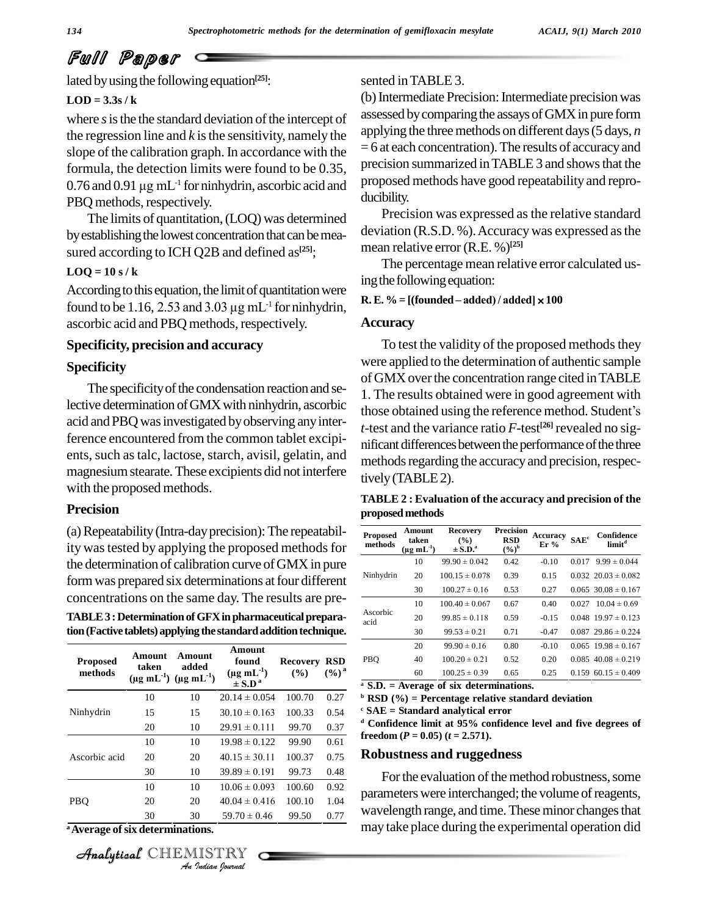# Full Paper

lated by using the following equation<sup>[25]</sup>:

#### $LOD = 3.3s / k$

where *s* is the the standard deviation of the intercept of the regression line and  $k$  is the sensitivity, namely the slope of the calibration graph. In accordance with the  $= 6$  at formula, the detection limits were found to be 0.35, precis 0.76 and 0.91  $\mu$ g mL<sup>-1</sup> for ninhydrin, ascorbic acid and propo formula, the detection limits were found to be 0.35,  $0.76$  and  $0.91 \mu$ g mL<sup>-1</sup> for ninhydrin, ascorbic acid and PBQ methods, respectively.

The limits of quantitation,(LOQ) was determined by establishing the lowest concentration that can be measured according to ICH Q2B and defined as **[25]**;

#### $LOQ = 10 s / k$

According to this equation, the limit of quantitation were LOQ = 10 s / k<br>According to this equation, the limit of quantitation were<br>found to be 1.16, 2.53 and 3.03  $\mu$ g mL<sup>-1</sup> for ninhydrin, ascorbic acid and PBQ methods, respectively.

#### **Specificity, precision and accuracy**

# **Specificity**

The specificity of the condensation reaction and seacid and PBQ was investigated by observing any interference encountered from the common tablet excipi ents, such as talc, lactose, starch, avisil, gelatin, and magnesiumstearate.These excipients did not interfere with the proposed methods.

#### **Precision**

(a)Repeatability(Intra-dayprecision):The repeatability was tested by applying the proposed methods for the determination of calibration curve of GMX in pure form was prepared six determinations at four different concentrations on the same day. The results are pre-

**TABLE3 :DeterminationofGFXinpharmaceuticalpreparation(Factivetablets)applying the standardadditiontechnique.**

| <b>Proposed</b><br>methods                  | Amount<br>taken<br>$(\mu g \, mL^{-1})$ $(\mu g \, mL^{-1})$ | Amount<br>added | Amount<br>found<br>$(\mu g \, mL^{-1})$<br>$\pm$ S.D <sup>a</sup> | <b>Recovery</b><br>(%) | <b>RSD</b><br>$(\%)^a$ |
|---------------------------------------------|--------------------------------------------------------------|-----------------|-------------------------------------------------------------------|------------------------|------------------------|
|                                             | 10                                                           | 10              | $20.14 \pm 0.054$                                                 | 100.70                 | 0.27                   |
| Ninhydrin                                   | 15                                                           | 15              | $30.10 \pm 0.163$                                                 | 100.33                 | 0.54                   |
|                                             | 20                                                           | 10              | $29.91 \pm 0.111$                                                 | 99.70                  | 0.37                   |
| Ascorbic acid                               | 10                                                           | 10              | $19.98 \pm 0.122$                                                 | 99.90                  | 0.61                   |
|                                             | 20                                                           | 20              | $40.15 \pm 30.11$                                                 | 100.37                 | 0.75                   |
|                                             | 30                                                           | 10              | $39.89 \pm 0.191$                                                 | 99.73                  | 0.48                   |
| PBO                                         | 10                                                           | 10              | $10.06 \pm 0.093$                                                 | 100.60                 | 0.92                   |
|                                             | 20                                                           | 20              | $40.04 \pm 0.416$                                                 | 100.10                 | 1.04                   |
|                                             | 30                                                           | 30              | $59.70 \pm 0.46$                                                  | 99.50                  | 0.77                   |
| <sup>a</sup> Average of six determinations. |                                                              |                 |                                                                   |                        |                        |

**Analytical** CHEMISTRY

# sented inTABLE 3.

(b) Intermediate Precision: Intermediate precision was assessed by comparing the assays of GMX in pure form applying the threemethods on different days(5 days, *n*  $= 6$  at each concentration). The results of accuracy and precision summarized inTABLE 3 and showsthat the proposed methods have good repeatability and repro ducibility.

Precision was expressed as the relative standard deviation (R.S.D. %). Accuracy was expressed as the mean relative error (R.E. %) **[25]**

The percentage mean relative error calculated using the following equation:

#### $R.E. % = [(founded - added) / added] \times 100$

#### **Accuracy**

lective determination of GMX with ninhydrin, ascorbic those obtained using the reference method. Student's To test the validity of the proposed methods they were applied to the determination of authentic sample of GMXoverthe concentration range cited inTABLE 1. The results obtained were in good agreement with of GMX over the concentration range cited in TABLE<br>1. The results obtained were in good agreement with<br>those obtained using the reference method. Student's *t*-test and the variance ratio *F*-test **[26]** revealed no sig nificant differences between the performance of the three methods regarding the accuracy and precision, respectively(TABLE2).

#### **TABLE 2 : Evaluation of the accuracy and precision of the proposedmethods**

| <b>Proposed</b><br>methods | Amount<br>taken<br>$(\mu g \text{ mL}^{-1})$ | <b>Recovery</b><br>$($ %)<br>$\pm$ S.D. <sup>a</sup> | <b>Precision</b><br><b>RSD</b><br>$(\frac{6}{9})^{\rm b}$ | Accuracy<br>$Er\%$ | SAE <sup>c</sup> | Confidence<br>limit <sup>a</sup> |
|----------------------------|----------------------------------------------|------------------------------------------------------|-----------------------------------------------------------|--------------------|------------------|----------------------------------|
| Ninhydrin                  | 10                                           | $99.90 \pm 0.042$                                    | 0.42                                                      | $-0.10$            | 0.017            | $9.99 \pm 0.044$                 |
|                            | 20                                           | $100.15 \pm 0.078$                                   | 0.39                                                      | 0.15               |                  | $0.032$ $20.03 \pm 0.082$        |
|                            | 30                                           | $100.27 \pm 0.16$                                    | 0.53                                                      | 0.27               |                  | $0.065$ 30.08 $\pm$ 0.167        |
|                            | 10                                           | $100.40 \pm 0.067$                                   | 0.67                                                      | 0.40               | 0.027            | $10.04 \pm 0.69$                 |
| Ascorbic<br>acid           | 20                                           | $99.85 \pm 0.118$                                    | 0.59                                                      | $-0.15$            |                  | $0.048$ 19.97 ± 0.123            |
|                            | 30                                           | $99.53 \pm 0.21$                                     | 0.71                                                      | $-0.47$            |                  | $0.087$ 29.86 $\pm$ 0.224        |
|                            | 20                                           | $99.90 \pm 0.16$                                     | 0.80                                                      | $-0.10$            |                  | $0.065$ 19.98 $\pm$ 0.167        |
| PBQ                        | 40                                           | $100.20 \pm 0.21$                                    | 0.52                                                      | 0.20               |                  | $0.085$ 40.08 ± 0.219            |
|                            | 60                                           | $100.25 \pm 0.39$                                    | 0.65                                                      | 0.25               |                  | $0.159$ 60.15 $\pm$ 0.409        |

**<sup>a</sup> S.D. = Average of six determinations.**

**<sup>b</sup> RSD (%) = Percentage relative standard deviation**

**<sup>c</sup> SAE = Standard analytical error**

**<sup>d</sup> Confidence limit at 95% confidence level and five degrees of freedom**  $(P = 0.05)$   $(t = 2.571)$ .

### **Robustness and ruggedness**

For the evaluation of the method robustness, some parameters were interchanged; the volume of reagents, wavelength range, and time. These minor changes that may take place during the experimental operation did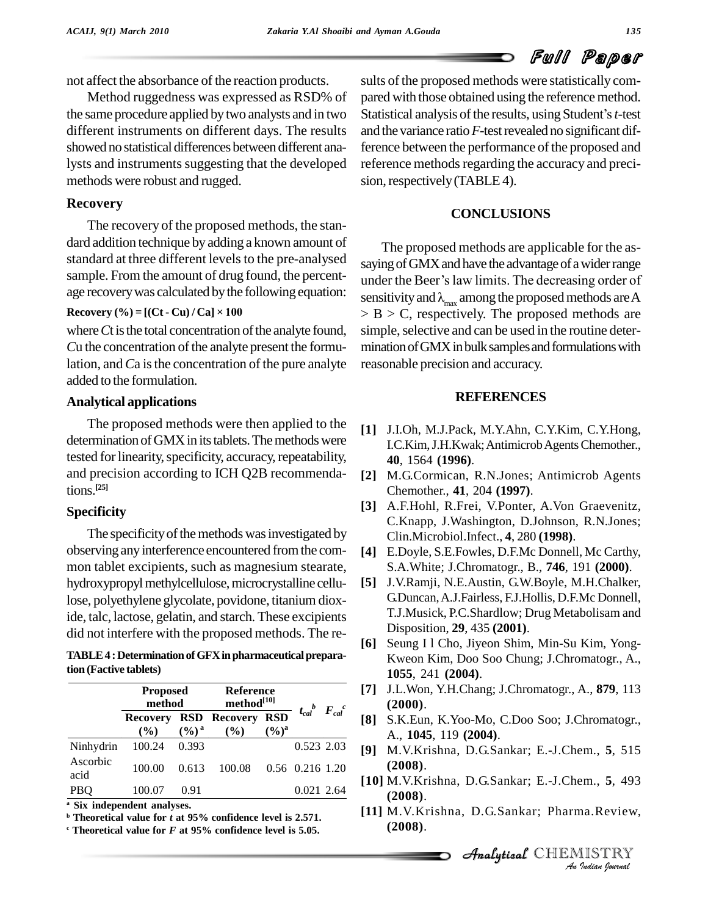not affect the absorbance of the reaction products.

Method ruggedness was expressed as RSD% of the same procedure applied bytwo analysts and in two different instruments on different days. The results showed no statistical differences between different analysts and instruments suggesting that the developed methods were robust and rugged.

# **Recovery**

The recovery of the proposed methods, the stan dard addition technique by adding a known amount of standard at three different levels to the pre-analysed sample. From the amount of drug found, the percent age recovery was calculated by the following equation:<br> **Recovery**  $\left(\% \right) = \left[ (\text{Ct - Cu}) / \text{Ca} \right] \times 100$ 

where *Ct* is the total concentration of the analyte found, *Cu* the concentration of the analyte present the formulation, and *C*a is the concentration of the pure analyte added to the formulation.

# **Analytical applications**

The proposed methods were then applied to the determination of GMX in its tablets. The methods were tested for linearity, specificity, accuracy, repeatability, and precision according to ICH Q2B recommendations. **[25]**

# **Specificity**

The specificity of the methods was investigated by observing anyinterference encountered fromthe com mon tablet excipients, such as magnesium stearate, hydroxypropylmethylcellulose,microcrystalline cellulose, polyethylene glycolate, povidone, titanium dioxide, talc, lactose, gelatin, and starch. These excipients did not interfere with the proposed methods. The re-

**TABLE4 :DeterminationofGFXinpharmaceuticalpreparation (Factive tablets)**

|                  | <b>Proposed</b><br>method |                   | <b>Reference</b><br>method <sup>[10]</sup> |                   |                              |  |
|------------------|---------------------------|-------------------|--------------------------------------------|-------------------|------------------------------|--|
|                  | <b>Recovery</b><br>$($ %) | $(\frac{6}{6})^a$ | RSD Recovery RSD<br>(%)                    | $(\frac{6}{9})^a$ | $t_{cal}$ $F_{cal}$ $c_{al}$ |  |
| Ninhydrin        | 100.24                    | 0.393             |                                            |                   | 0.523 2.03                   |  |
| Ascorbic<br>acid | 100.00                    | 0.613             | 100.08                                     |                   | $0.56$ $0.216$ 1.20          |  |
| <b>PBQ</b>       | 100.07                    | 0.91              |                                            |                   | 0.021 2.64                   |  |

**<sup>a</sup> Six independent analyses.**

**<sup>b</sup> Theoretical value for** *t* **at 95% confidence level is 2.571.**

**<sup>c</sup> Theoretical value for** *F* **at 95% confidence level is 5.05.**

sults of the proposed methods were statistically compared with those obtained using the reference method. Statistical analysis of the results, using Student's *t*-test and the variance ratio*F*-testrevealed no significant difference between the performance of the proposed and reference methods regarding the accuracy and precision, respectively (TABLE 4).

# **CONCLUSIONS**

The proposed methods are applicable for the as saying of GMX and have the advantage of a wider range under the Beer's law limits. The decreasing order of sensitivity and  $\lambda_{\text{max}}$  among the proposed methods are A  $>$  B  $>$  C, respectively. The proposed methods are simple, selective and can be used in the routine determination of GMX in bulk samples and formulations with reasonable precision and accuracy.

# **REFERENCES**

- **[1]** J.I.Oh, M.J.Pack, M.Y.Ahn, C.Y.Kim, C.Y.Hong, I.C.Kim, J.H.Kwak; Antimicrob Agents Chemother., **40**, 1564 **(1996)**.
- **[2]** M.G.Cormican, R.N.Jones; Antimicrob Agents Chemother., **41**, 204 **(1997)**.
- **[3]** A.F.Hohl, R.Frei, V.Ponter, A.Von Graevenitz, C.Knapp, J.Washington, D.Johnson, R.N.Jones; Clin.Microbiol.Infect., **4**, 280 **(1998)**.
- **[4]** E.Doyle, S.E.Fowles, D.F.Mc Donnell, Mc Carthy, S.A.White; J.Chromatogr., B., **746**, 191 **(2000)**.
- **[5]** J.V.Ramji, N.E.Austin, G.W.Boyle, M.H.Chalker, G.Duncan,A.J.Fairless, F.J.Hollis, D.F.Mc Donnell, T.J.Musick, P.C.Shardlow; Drug Metabolisam and Disposition, **29**, 435 **(2001)**.
- **[6]** Seung I l Cho, Jiyeon Shim, Min-Su Kim, Yong- Kweon Kim, Doo Soo Chung; J.Chromatogr., A., **1055**, 241 **(2004)**.
- **[7]** J.L.Won, Y.H.Chang; J.Chromatogr., A., **879**, 113 **(2000)**.
- **[8]** S.K.Eun, K.Yoo-Mo, C.Doo Soo; J.Chromatogr., A., **1045**, 119 **(2004)**.
- **[9]** M.V.Krishna, D.G.Sankar; E.-J.Chem., **5**, 515 **(2008)**.
- **(2008)**.
- **I001** M.V.Krishna, D.G.Sankar; E.-J.Chem., **5**, 493<br> *(2008).***<br>
I111** M.V.Krishna, D.G.Sankar; Pharma.Review, **(2008).**<br> *Analytical* CHEMISTRY *An Indian hournal* **[11]** M.V.Krishna, D.G.Sankar; Pharma.Review, **(2008)**.